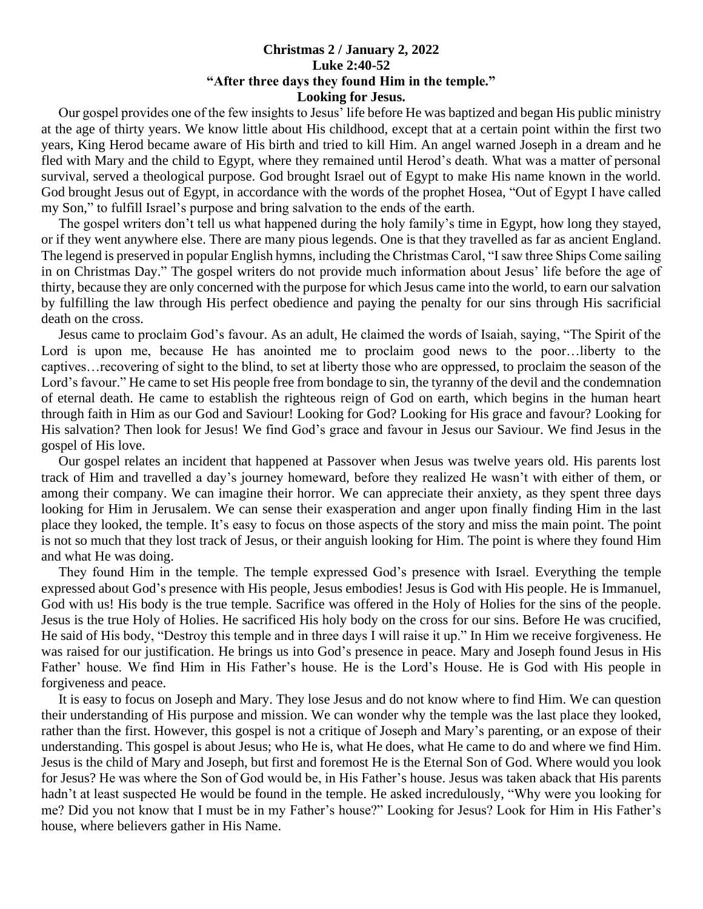## **Christmas 2 / January 2, 2022 Luke 2:40-52 "After three days they found Him in the temple." Looking for Jesus.**

 Our gospel provides one of the few insights to Jesus' life before He was baptized and began His public ministry at the age of thirty years. We know little about His childhood, except that at a certain point within the first two years, King Herod became aware of His birth and tried to kill Him. An angel warned Joseph in a dream and he fled with Mary and the child to Egypt, where they remained until Herod's death. What was a matter of personal survival, served a theological purpose. God brought Israel out of Egypt to make His name known in the world. God brought Jesus out of Egypt, in accordance with the words of the prophet Hosea, "Out of Egypt I have called my Son," to fulfill Israel's purpose and bring salvation to the ends of the earth.

 The gospel writers don't tell us what happened during the holy family's time in Egypt, how long they stayed, or if they went anywhere else. There are many pious legends. One is that they travelled as far as ancient England. The legend is preserved in popular English hymns, including the Christmas Carol, "I saw three Ships Come sailing in on Christmas Day." The gospel writers do not provide much information about Jesus' life before the age of thirty, because they are only concerned with the purpose for which Jesus came into the world, to earn our salvation by fulfilling the law through His perfect obedience and paying the penalty for our sins through His sacrificial death on the cross.

 Jesus came to proclaim God's favour. As an adult, He claimed the words of Isaiah, saying, "The Spirit of the Lord is upon me, because He has anointed me to proclaim good news to the poor…liberty to the captives…recovering of sight to the blind, to set at liberty those who are oppressed, to proclaim the season of the Lord's favour." He came to set His people free from bondage to sin, the tyranny of the devil and the condemnation of eternal death. He came to establish the righteous reign of God on earth, which begins in the human heart through faith in Him as our God and Saviour! Looking for God? Looking for His grace and favour? Looking for His salvation? Then look for Jesus! We find God's grace and favour in Jesus our Saviour. We find Jesus in the gospel of His love.

 Our gospel relates an incident that happened at Passover when Jesus was twelve years old. His parents lost track of Him and travelled a day's journey homeward, before they realized He wasn't with either of them, or among their company. We can imagine their horror. We can appreciate their anxiety, as they spent three days looking for Him in Jerusalem. We can sense their exasperation and anger upon finally finding Him in the last place they looked, the temple. It's easy to focus on those aspects of the story and miss the main point. The point is not so much that they lost track of Jesus, or their anguish looking for Him. The point is where they found Him and what He was doing.

 They found Him in the temple. The temple expressed God's presence with Israel. Everything the temple expressed about God's presence with His people, Jesus embodies! Jesus is God with His people. He is Immanuel, God with us! His body is the true temple. Sacrifice was offered in the Holy of Holies for the sins of the people. Jesus is the true Holy of Holies. He sacrificed His holy body on the cross for our sins. Before He was crucified, He said of His body, "Destroy this temple and in three days I will raise it up." In Him we receive forgiveness. He was raised for our justification. He brings us into God's presence in peace. Mary and Joseph found Jesus in His Father' house. We find Him in His Father's house. He is the Lord's House. He is God with His people in forgiveness and peace.

 It is easy to focus on Joseph and Mary. They lose Jesus and do not know where to find Him. We can question their understanding of His purpose and mission. We can wonder why the temple was the last place they looked, rather than the first. However, this gospel is not a critique of Joseph and Mary's parenting, or an expose of their understanding. This gospel is about Jesus; who He is, what He does, what He came to do and where we find Him. Jesus is the child of Mary and Joseph, but first and foremost He is the Eternal Son of God. Where would you look for Jesus? He was where the Son of God would be, in His Father's house. Jesus was taken aback that His parents hadn't at least suspected He would be found in the temple. He asked incredulously, "Why were you looking for me? Did you not know that I must be in my Father's house?" Looking for Jesus? Look for Him in His Father's house, where believers gather in His Name.